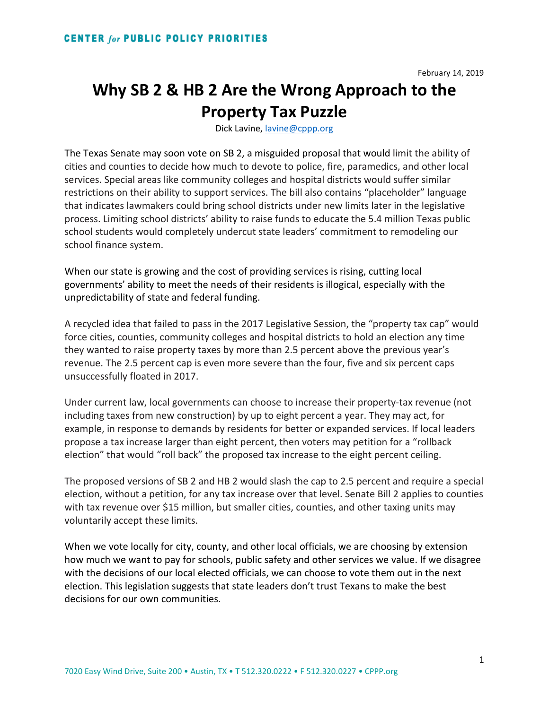## **Why SB 2 & HB 2 Are the Wrong Approach to the Property Tax Puzzle**

Dick Lavine, [lavine@cppp.org](mailto:lavine@cppp.org)

The Texas Senate may soon vote on SB 2, a misguided proposal that would limit the ability of cities and counties to decide how much to devote to police, fire, paramedics, and other local services. Special areas like community colleges and hospital districts would suffer similar restrictions on their ability to support services. The bill also contains "placeholder" language that indicates lawmakers could bring school districts under new limits later in the legislative process. Limiting school districts' ability to raise funds to educate the 5.4 million Texas public school students would completely undercut state leaders' commitment to remodeling our school finance system.

When our state is growing and the cost of providing services is rising, cutting local governments' ability to meet the needs of their residents is illogical, especially with the unpredictability of state and federal funding.

A recycled idea that failed to pass in the 2017 Legislative Session, the "property tax cap" would force cities, counties, community colleges and hospital districts to hold an election any time they wanted to raise property taxes by more than 2.5 percent above the previous year's revenue. The 2.5 percent cap is even more severe than the four, five and six percent caps unsuccessfully floated in 2017.

Under current law, local governments can choose to increase their property-tax revenue (not including taxes from new construction) by up to eight percent a year. They may act, for example, in response to demands by residents for better or expanded services. If local leaders propose a tax increase larger than eight percent, then voters may petition for a "rollback election" that would "roll back" the proposed tax increase to the eight percent ceiling.

The proposed versions of SB 2 and HB 2 would slash the cap to 2.5 percent and require a special election, without a petition, for any tax increase over that level. Senate Bill 2 applies to counties with tax revenue over \$15 million, but smaller cities, counties, and other taxing units may voluntarily accept these limits.

When we vote locally for city, county, and other local officials, we are choosing by extension how much we want to pay for schools, public safety and other services we value. If we disagree with the decisions of our local elected officials, we can choose to vote them out in the next election. This legislation suggests that state leaders don't trust Texans to make the best decisions for our own communities.